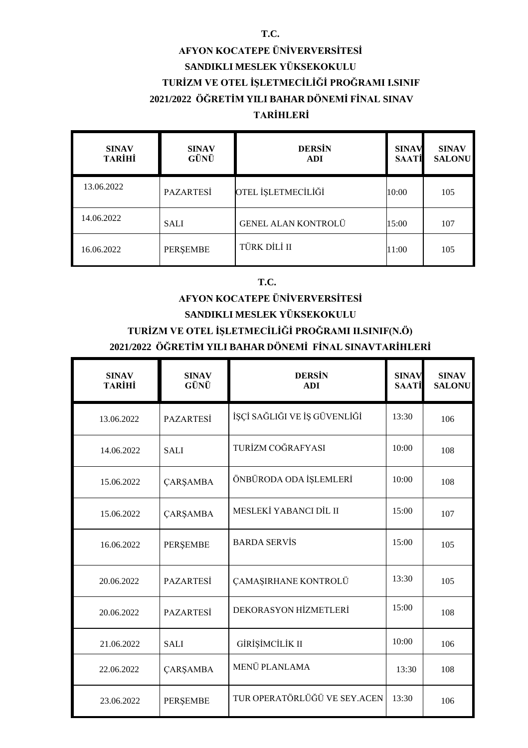#### **T.C.**

## **AFYON KOCATEPE ÜNİVERVERSİTESİ SANDIKLI MESLEK YÜKSEKOKULU TURİZM VE OTEL İŞLETMECİLİĞİ PROĞRAMI I.SINIF 2021/2022 ÖĞRETİM YILI BAHAR DÖNEMİ FİNAL SINAV**

### **TARİHLERİ**

| <b>SINAV</b><br><b>TARİHİ</b> | <b>SINAV</b><br>GÜNÜ | <b>DERSIN</b><br><b>ADI</b> | <b>SINAV</b><br>SAATİ | <b>SINAV</b><br><b>SALONU</b> |
|-------------------------------|----------------------|-----------------------------|-----------------------|-------------------------------|
| 13.06.2022                    | <b>PAZARTESİ</b>     | OTEL İŞLETMECİLİĞİ          | 10:00                 | 105                           |
| 14.06.2022                    | <b>SALI</b>          | <b>GENEL ALAN KONTROLÜ</b>  | 15:00                 | 107                           |
| 16.06.2022                    | PERŞEMBE             | TÜRK DİLİ II                | 11:00                 | 105                           |

#### **T.C.**

## **AFYON KOCATEPE ÜNİVERVERSİTESİ**

## **SANDIKLI MESLEK YÜKSEKOKULU**

### **TURİZM VE OTEL İŞLETMECİLİĞİ PROĞRAMI II.SINIF(N.Ö)**

#### **2021/2022 ÖĞRETİM YILI BAHAR DÖNEMİ FİNAL SINAVTARİHLERİ**

| <b>SINAV</b><br><b>TARİHİ</b> | <b>SINAV</b><br>GÜNÜ | <b>DERSIN</b><br><b>ADI</b>  | <b>SINAV</b><br><b>SAATİ</b> | <b>SINAV</b><br><b>SALONU</b> |
|-------------------------------|----------------------|------------------------------|------------------------------|-------------------------------|
| 13.06.2022                    | <b>PAZARTESİ</b>     | İŞÇİ SAĞLIĞI VE İŞ GÜVENLİĞİ | 13:30                        | 106                           |
| 14.06.2022                    | <b>SALI</b>          | TURİZM COĞRAFYASI            | 10:00                        | 108                           |
| 15.06.2022                    | <b>ÇARŞAMBA</b>      | ÖNBÜRODA ODA İŞLEMLERİ       | 10:00                        | 108                           |
| 15.06.2022                    | <b>ÇARŞAMBA</b>      | MESLEKİ YABANCI DİL II       | 15:00                        | 107                           |
| 16.06.2022                    | <b>PERŞEMBE</b>      | <b>BARDA SERVIS</b>          | 15:00                        | 105                           |
| 20.06.2022                    | <b>PAZARTESİ</b>     | ÇAMAŞIRHANE KONTROLÜ         | 13:30                        | 105                           |
| 20.06.2022                    | <b>PAZARTESİ</b>     | DEKORASYON HİZMETLERİ        | 15:00                        | 108                           |
| 21.06.2022                    | <b>SALI</b>          | GİRİŞİMCİLİK II              | 10:00                        | 106                           |
| 22.06.2022                    | <b>ÇARŞAMBA</b>      | MENÜ PLANLAMA                | 13:30                        | 108                           |
| 23.06.2022                    | <b>PERŞEMBE</b>      | TUR OPERATÖRLÜĞÜ VE SEY.ACEN | 13:30                        | 106                           |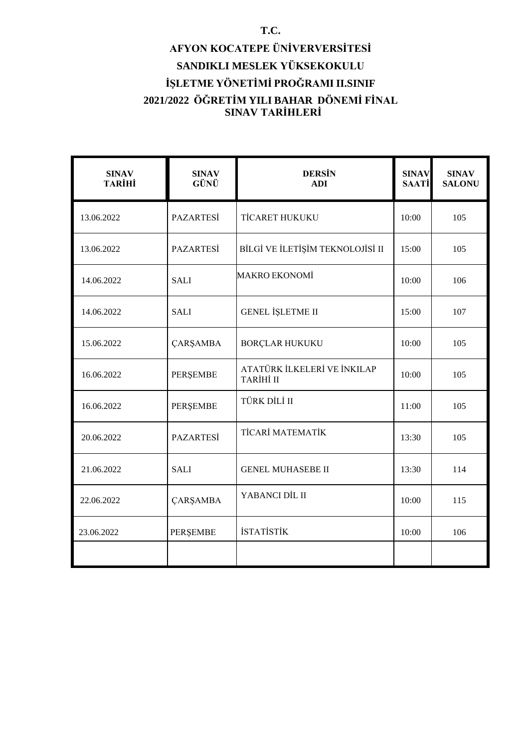# **AFYON KOCATEPE ÜNİVERVERSİTESİ SANDIKLI MESLEK YÜKSEKOKULU İŞLETME YÖNETİMİ PROĞRAMI II.SINIF 2021/2022 ÖĞRETİM YILI BAHAR DÖNEMİ FİNAL SINAV TARİHLERİ**

| <b>SINAV</b><br><b>TARİHİ</b> | <b>SINAV</b><br>GÜNÜ | <b>DERSIN</b><br><b>ADI</b>              | <b>SINAV</b><br><b>SAATİ</b> | <b>SINAV</b><br><b>SALONU</b> |
|-------------------------------|----------------------|------------------------------------------|------------------------------|-------------------------------|
| 13.06.2022                    | <b>PAZARTESİ</b>     | <b>TİCARET HUKUKU</b>                    | 10:00                        | 105                           |
| 13.06.2022                    | <b>PAZARTESI</b>     | BİLGİ VE İLETİŞİM TEKNOLOJİSİ II         | 15:00                        | 105                           |
| 14.06.2022                    | <b>SALI</b>          | <b>MAKRO EKONOMİ</b>                     | 10:00                        | 106                           |
| 14.06.2022                    | <b>SALI</b>          | <b>GENEL İŞLETME II</b>                  | 15:00                        | 107                           |
| 15.06.2022                    | <b>ÇARŞAMBA</b>      | <b>BORÇLAR HUKUKU</b>                    | 10:00                        | 105                           |
| 16.06.2022                    | PERŞEMBE             | ATATÜRK İLKELERİ VE İNKILAP<br>TARİHİ II | 10:00                        | 105                           |
| 16.06.2022                    | PERŞEMBE             | TÜRK DİLİ II                             | 11:00                        | 105                           |
| 20.06.2022                    | <b>PAZARTESİ</b>     | <b>TİCARİ MATEMATİK</b>                  | 13:30                        | 105                           |
| 21.06.2022                    | <b>SALI</b>          | <b>GENEL MUHASEBE II</b>                 | 13:30                        | 114                           |
| 22.06.2022                    | <b>ÇARŞAMBA</b>      | YABANCI DİL II                           | 10:00                        | 115                           |
| 23.06.2022                    | <b>PERŞEMBE</b>      | <b>İSTATİSTİK</b>                        | 10:00                        | 106                           |
|                               |                      |                                          |                              |                               |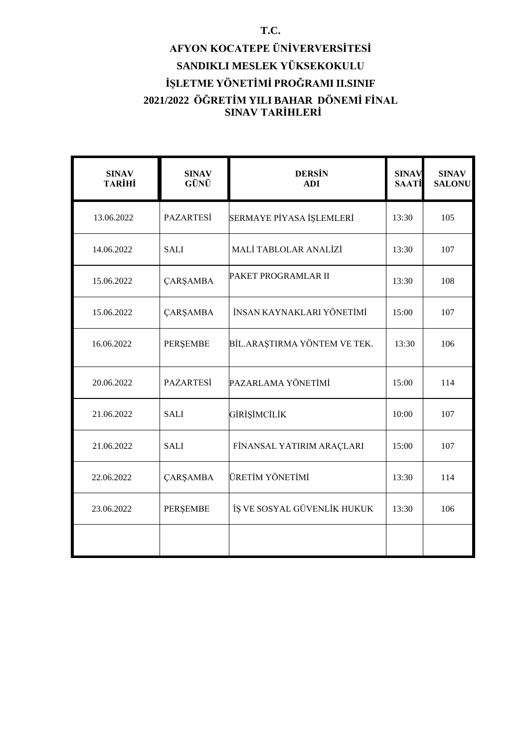# **AFYON KOCATEPE ÜNİVERVERSİTESİ SANDIKLI MESLEK YÜKSEKOKULU İŞLETME YÖNETİMİ PROĞRAMI II.SINIF 2021/2022 ÖĞRETİM YILI BAHAR DÖNEMİ FİNAL SINAV TARİHLERİ**

| <b>SINAV</b><br><b>TARİHİ</b> | <b>SINAV</b><br>GÜNÜ | <b>DERSIN</b><br><b>ADI</b>  | <b>SINAV</b><br><b>SAATİ</b> | <b>SINAV</b><br><b>SALONU</b> |
|-------------------------------|----------------------|------------------------------|------------------------------|-------------------------------|
| 13.06.2022                    | PAZARTESİ            | SERMAYE PİYASA İŞLEMLERİ     | 13:30                        | 105                           |
| 14.06.2022                    | <b>SALI</b>          | MALİ TABLOLAR ANALİZİ        | 13:30                        | 107                           |
| 15.06.2022                    | <b>ÇARŞAMBA</b>      | PAKET PROGRAMLAR II          | 13:30                        | 108                           |
| 15.06.2022                    | <b>ÇARŞAMBA</b>      | İNSAN KAYNAKLARI YÖNETİMİ    | 15:00                        | 107                           |
| 16.06.2022                    | PERŞEMBE             | BİL.ARAŞTIRMA YÖNTEM VE TEK. | 13:30                        | 106                           |
| 20.06.2022                    | <b>PAZARTESİ</b>     | PAZARLAMA YÖNETİMİ           | 15:00                        | 114                           |
| 21.06.2022                    | <b>SALI</b>          | GİRİŞİMCİLİK                 | 10:00                        | 107                           |
| 21.06.2022                    | <b>SALI</b>          | FİNANSAL YATIRIM ARAÇLARI    | 15:00                        | 107                           |
| 22.06.2022                    | <b>ÇARŞAMBA</b>      | ÜRETİM YÖNETİMİ              | 13:30                        | 114                           |
| 23.06.2022                    | PERŞEMBE             | İŞ VE SOSYAL GÜVENLİK HUKUK  | 13:30                        | 106                           |
|                               |                      |                              |                              |                               |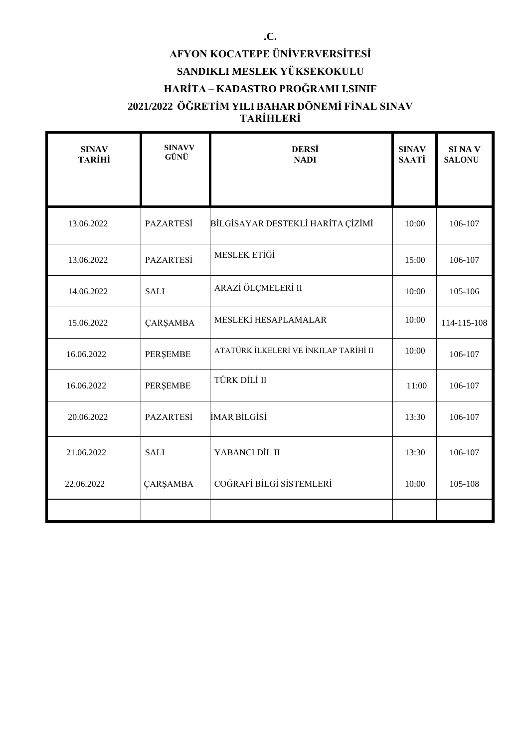# **AFYON KOCATEPE ÜNİVERVERSİTESİ SANDIKLI MESLEK YÜKSEKOKULU HARİTA – KADASTRO PROĞRAMI I.SINIF**

### **2021/2022 ÖĞRETİM YILI BAHAR DÖNEMİ FİNAL SINAV TARİHLERİ**

| <b>SINAV</b><br><b>TARİHİ</b> | <b>SINAVV</b><br>GÜNÜ | <b>DERSI</b><br><b>NADI</b>           | <b>SINAV</b><br><b>SAATİ</b> | <b>SINAV</b><br><b>SALONU</b> |
|-------------------------------|-----------------------|---------------------------------------|------------------------------|-------------------------------|
|                               |                       |                                       |                              |                               |
| 13.06.2022                    | PAZARTESİ             | BİLGİSAYAR DESTEKLİ HARİTA ÇİZİMİ     | 10:00                        | 106-107                       |
| 13.06.2022                    | <b>PAZARTESİ</b>      | MESLEK ETİĞİ                          | 15:00                        | 106-107                       |
| 14.06.2022                    | <b>SALI</b>           | ARAZİ ÖLÇMELERİ II                    | 10:00                        | 105-106                       |
| 15.06.2022                    | ÇARŞAMBA              | MESLEKİ HESAPLAMALAR                  | 10:00                        | 114-115-108                   |
| 16.06.2022                    | PERŞEMBE              | ATATÜRK İLKELERİ VE İNKILAP TARİHİ II | 10:00                        | 106-107                       |
| 16.06.2022                    | PERŞEMBE              | TÜRK DİLİ II                          | 11:00                        | 106-107                       |
| 20.06.2022                    | <b>PAZARTESİ</b>      | İMAR BİLGİSİ                          | 13:30                        | 106-107                       |
| 21.06.2022                    | <b>SALI</b>           | YABANCI DİL II                        | 13:30                        | 106-107                       |
| 22.06.2022                    | <b>ÇARŞAMBA</b>       | COĞRAFİ BİLGİ SİSTEMLERİ              | 10:00                        | 105-108                       |
|                               |                       |                                       |                              |                               |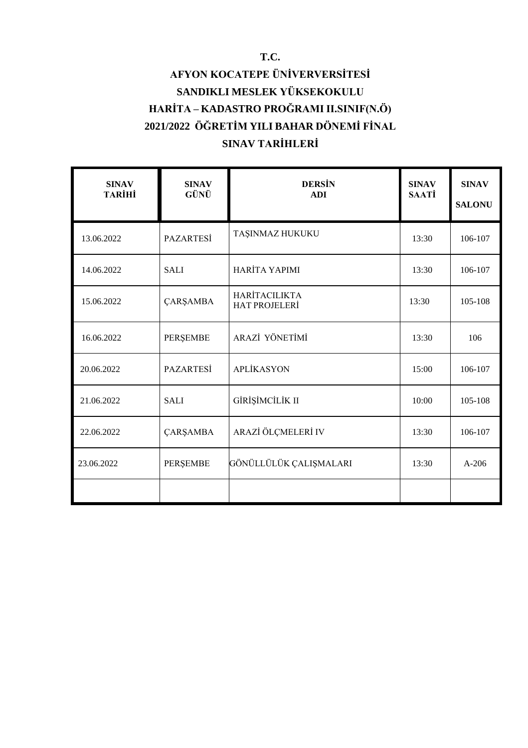# **AFYON KOCATEPE ÜNİVERVERSİTESİ SANDIKLI MESLEK YÜKSEKOKULU HARİTA – KADASTRO PROĞRAMI II.SINIF(N.Ö) 2021/2022 ÖĞRETİM YILI BAHAR DÖNEMİ FİNAL SINAV TARİHLERİ**

| <b>SINAV</b><br><b>TARİHİ</b> | <b>SINAV</b><br>GÜNÜ | <b>DERSIN</b><br><b>ADI</b>                  | <b>SINAV</b><br><b>SAATİ</b> | <b>SINAV</b><br><b>SALONU</b> |
|-------------------------------|----------------------|----------------------------------------------|------------------------------|-------------------------------|
| 13.06.2022                    | <b>PAZARTESİ</b>     | TAŞINMAZ HUKUKU                              | 13:30                        | 106-107                       |
| 14.06.2022                    | <b>SALI</b>          | HARİTA YAPIMI                                | 13:30                        | 106-107                       |
| 15.06.2022                    | ÇARŞAMBA             | <b>HARİTACILIKTA</b><br><b>HAT PROJELERİ</b> | 13:30                        | 105-108                       |
| 16.06.2022                    | <b>PERSEMBE</b>      | ARAZİ YÖNETİMİ                               | 13:30                        | 106                           |
| 20.06.2022                    | <b>PAZARTESİ</b>     | <b>APLİKASYON</b>                            | 15:00                        | 106-107                       |
| 21.06.2022                    | <b>SALI</b>          | GİRİŞİMCİLİK II                              | 10:00                        | 105-108                       |
| 22.06.2022                    | <b>ÇARŞAMBA</b>      | ARAZİ ÖLÇMELERİ IV                           | 13:30                        | 106-107                       |
| 23.06.2022                    | PERŞEMBE             | GÖNÜLLÜLÜK ÇALIŞMALARI                       | 13:30                        | $A-206$                       |
|                               |                      |                                              |                              |                               |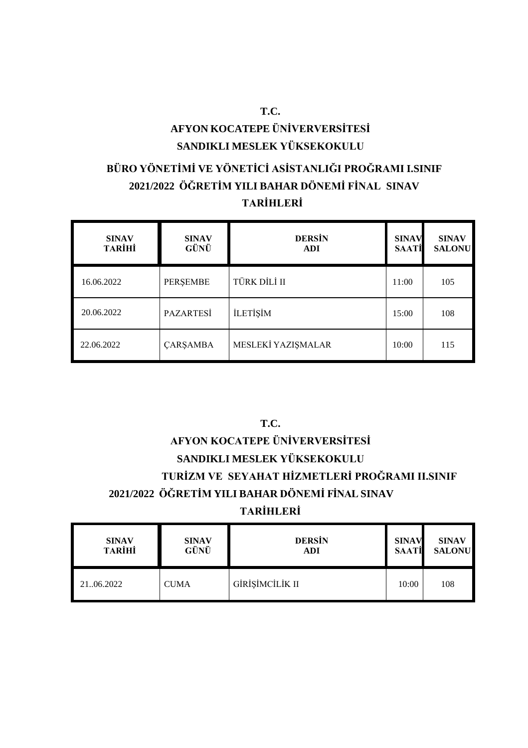# **AFYON KOCATEPE ÜNİVERVERSİTESİ SANDIKLI MESLEK YÜKSEKOKULU**

## **BÜRO YÖNETİMİ VE YÖNETİCİ ASİSTANLIĞI PROĞRAMI I.SINIF 2021/2022 ÖĞRETİM YILI BAHAR DÖNEMİ FİNAL SINAV TARİHLERİ**

| <b>SINAV</b><br><b>TARİHİ</b> | <b>SINAV</b><br>GÜNÜ | <b>DERSIN</b><br><b>ADI</b> | <b>SINAV</b><br><b>SAATI</b> | <b>SINAV</b><br><b>SALONU</b> |
|-------------------------------|----------------------|-----------------------------|------------------------------|-------------------------------|
| 16.06.2022                    | PERŞEMBE             | TÜRK DİLİ II                | 11:00                        | 105                           |
| 20.06.2022                    | <b>PAZARTESİ</b>     | <b>İLETİŞİM</b>             | 15:00                        | 108                           |
| 22.06.2022                    | <b>ÇARŞAMBA</b>      | MESLEKİ YAZIŞMALAR          | 10:00                        | 115                           |

## **T.C.**

## **AFYON KOCATEPE ÜNİVERVERSİTESİ SANDIKLI MESLEK YÜKSEKOKULU TURİZM VE SEYAHAT HİZMETLERİ PROĞRAMI II.SINIF 2021/2022 ÖĞRETİM YILI BAHAR DÖNEMİ FİNAL SINAV TARİHLERİ**

| <b>SINAV</b>  | <b>SINAV</b> | <b>DERSIN</b>   | <b>SINAV</b> | <b>SINAV</b>  |
|---------------|--------------|-----------------|--------------|---------------|
| <b>TARİHİ</b> | GÜNÜ         | ADI             | <b>SAATİ</b> | <b>SALONU</b> |
| 2106.2022     | <b>CUMA</b>  | GİRİŞİMCİLİK II | 10:00        | 108           |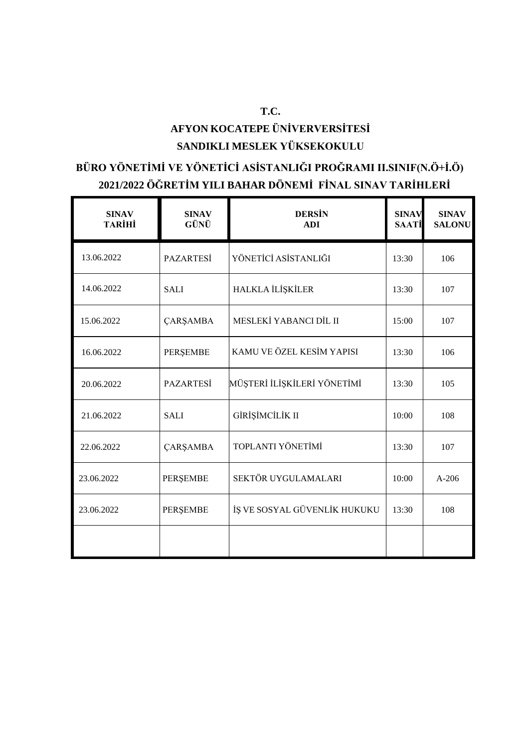## **AFYON KOCATEPE ÜNİVERVERSİTESİ SANDIKLI MESLEK YÜKSEKOKULU**

**T.C.**

## **BÜRO YÖNETİMİ VE YÖNETİCİ ASİSTANLIĞI PROĞRAMI II.SINIF(N.Ö+İ.Ö) 2021/2022 ÖĞRETİM YILI BAHAR DÖNEMİ FİNAL SINAV TARİHLERİ**

| <b>SINAV</b><br><b>TARİHİ</b> | <b>SINAV</b><br>GÜNÜ | <b>DERSIN</b><br><b>ADI</b>  | <b>SINAV</b><br><b>SAATİ</b> | <b>SINAV</b><br><b>SALONU</b> |
|-------------------------------|----------------------|------------------------------|------------------------------|-------------------------------|
| 13.06.2022                    | <b>PAZARTESİ</b>     | YÖNETİCİ ASİSTANLIĞI         | 13:30                        | 106                           |
| 14.06.2022                    | <b>SALI</b>          | HALKLA İLİŞKİLER             | 13:30                        | 107                           |
| 15.06.2022                    | <b>ÇARŞAMBA</b>      | MESLEKİ YABANCI DİL II       | 15:00                        | 107                           |
| 16.06.2022                    | PERŞEMBE             | KAMU VE ÖZEL KESİM YAPISI    | 13:30                        | 106                           |
| 20.06.2022                    | <b>PAZARTESI</b>     | MÜŞTERİ İLİŞKİLERİ YÖNETİMİ  | 13:30                        | 105                           |
| 21.06.2022                    | <b>SALI</b>          | GİRİŞİMCİLİK II              | 10:00                        | 108                           |
| 22.06.2022                    | <b>ÇARŞAMBA</b>      | TOPLANTI YÖNETİMİ            | 13:30                        | 107                           |
| 23.06.2022                    | PERŞEMBE             | SEKTÖR UYGULAMALARI          | 10:00                        | $A-206$                       |
| 23.06.2022                    | <b>PERŞEMBE</b>      | İŞ VE SOSYAL GÜVENLİK HUKUKU | 13:30                        | 108                           |
|                               |                      |                              |                              |                               |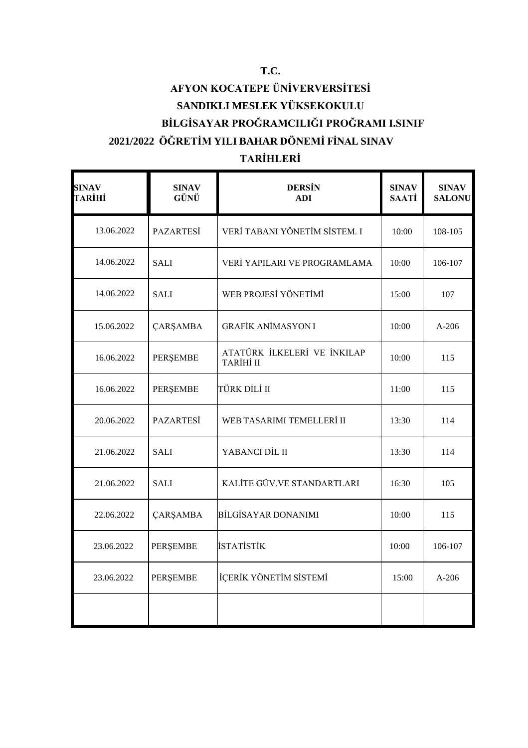# **AFYON KOCATEPE ÜNİVERVERSİTESİ SANDIKLI MESLEK YÜKSEKOKULU BİLGİSAYAR PROĞRAMCILIĞI PROĞRAMI I.SINIF 2021/2022 ÖĞRETİM YILI BAHAR DÖNEMİ FİNAL SINAV**

## **TARİHLERİ**

| <b>SINAV</b><br>TARİHİ | <b>SINAV</b><br>GÜNÜ | <b>DERSIN</b><br><b>ADI</b>              | <b>SINAV</b><br><b>SAATİ</b> | <b>SINAV</b><br><b>SALONU</b> |
|------------------------|----------------------|------------------------------------------|------------------------------|-------------------------------|
| 13.06.2022             | PAZARTESİ            | VERİ TABANI YÖNETİM SİSTEM. I            | 10:00                        | 108-105                       |
| 14.06.2022             | <b>SALI</b>          | VERİ YAPILARI VE PROGRAMLAMA             | 10:00                        | 106-107                       |
| 14.06.2022             | <b>SALI</b>          | WEB PROJESİ YÖNETİMİ                     | 15:00                        | 107                           |
| 15.06.2022             | <b>ÇARŞAMBA</b>      | <b>GRAFİK ANİMASYON I</b>                | 10:00                        | $A-206$                       |
| 16.06.2022             | PERŞEMBE             | ATATÜRK İLKELERİ VE İNKILAP<br>TARİHİ II | 10:00                        | 115                           |
| 16.06.2022             | PERŞEMBE             | TÜRK DİLİ II                             | 11:00                        | 115                           |
| 20.06.2022             | <b>PAZARTESI</b>     | WEB TASARIMI TEMELLERİ II                | 13:30                        | 114                           |
| 21.06.2022             | <b>SALI</b>          | YABANCI DİL II                           | 13:30                        | 114                           |
| 21.06.2022             | <b>SALI</b>          | KALİTE GÜV.VE STANDARTLARI               | 16:30                        | 105                           |
| 22.06.2022             | <b>ÇARŞAMBA</b>      | <b>BİLGİSAYAR DONANIMI</b>               | 10:00                        | 115                           |
| 23.06.2022             | PERŞEMBE             | <b>İSTATİSTİK</b>                        | 10:00                        | 106-107                       |
| 23.06.2022             | PERŞEMBE             | İÇERİK YÖNETİM SİSTEMİ                   | 15:00                        | $A-206$                       |
|                        |                      |                                          |                              |                               |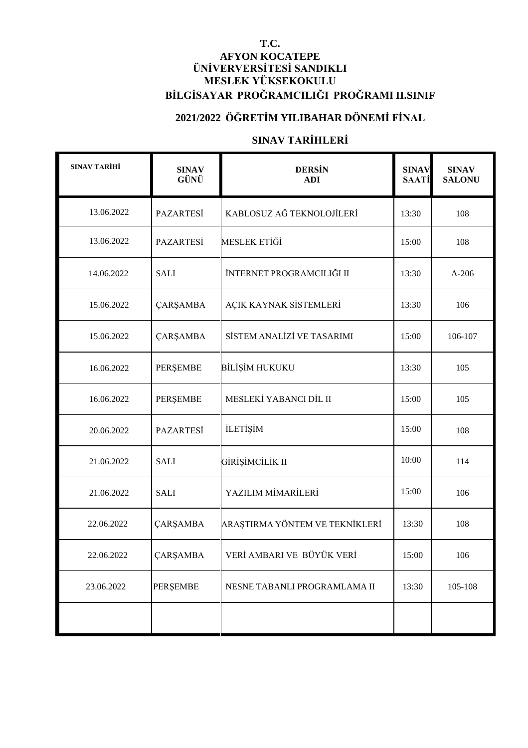#### **T.C. AFYON KOCATEPE ÜNİVERVERSİTESİ SANDIKLI MESLEK YÜKSEKOKULU BİLGİSAYAR PROĞRAMCILIĞI PROĞRAMI II.SINIF**

### **2021/2022 ÖĞRETİM YILIBAHAR DÖNEMİ FİNAL**

### **SINAV TARİHLERİ**

| <b>SINAV TARİHİ</b> | <b>SINAV</b><br>GÜNÜ | <b>DERSIN</b><br><b>ADI</b>    | <b>SINAV</b><br><b>SAATİ</b> | <b>SINAV</b><br><b>SALONU</b> |
|---------------------|----------------------|--------------------------------|------------------------------|-------------------------------|
| 13.06.2022          | <b>PAZARTESİ</b>     | KABLOSUZ AĞ TEKNOLOJİLERİ      | 13:30                        | 108                           |
| 13.06.2022          | <b>PAZARTESİ</b>     | MESLEK ETİĞİ                   | 15:00                        | 108                           |
| 14.06.2022          | <b>SALI</b>          | İNTERNET PROGRAMCILIĞI II      | 13:30                        | $A-206$                       |
| 15.06.2022          | ÇARŞAMBA             | AÇIK KAYNAK SİSTEMLERİ         | 13:30                        | 106                           |
| 15.06.2022          | ÇARŞAMBA             | SİSTEM ANALİZİ VE TASARIMI     | 15:00                        | 106-107                       |
| 16.06.2022          | PERŞEMBE             | <b>BİLİŞİM HUKUKU</b>          | 13:30                        | 105                           |
| 16.06.2022          | PERŞEMBE             | MESLEKİ YABANCI DİL II         | 15:00                        | 105                           |
| 20.06.2022          | <b>PAZARTESİ</b>     | <b>İLETİŞİM</b>                | 15:00                        | 108                           |
| 21.06.2022          | <b>SALI</b>          | GİRİŞİMCİLİK II                | 10:00                        | 114                           |
| 21.06.2022          | <b>SALI</b>          | YAZILIM MİMARİLERİ             | 15:00                        | 106                           |
| 22.06.2022          | ÇARŞAMBA             | ARAŞTIRMA YÖNTEM VE TEKNİKLERİ | 13:30                        | 108                           |
| 22.06.2022          | ÇARŞAMBA             | VERİ AMBARI VE BÜYÜK VERİ      | 15:00                        | 106                           |
| 23.06.2022          | PERŞEMBE             | NESNE TABANLI PROGRAMLAMA II   | 13:30                        | 105-108                       |
|                     |                      |                                |                              |                               |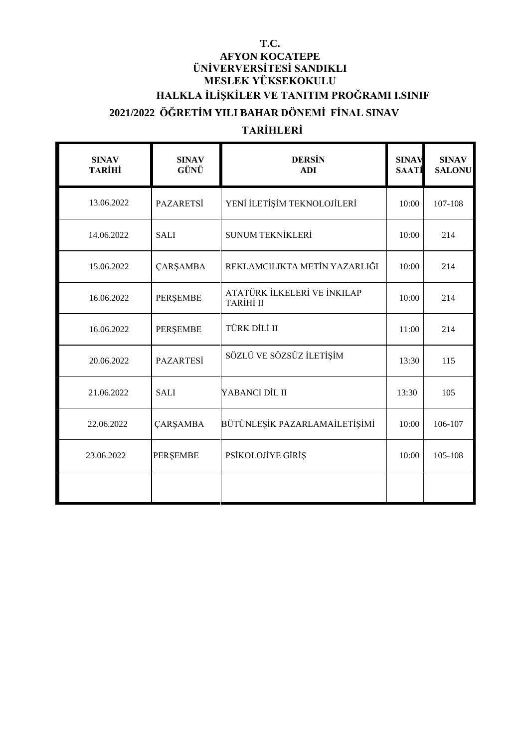### **T.C. AFYON KOCATEPE ÜNİVERVERSİTESİ SANDIKLI MESLEK YÜKSEKOKULU HALKLA İLİŞKİLER VE TANITIM PROĞRAMI I.SINIF 2021/2022 ÖĞRETİM YILI BAHAR DÖNEMİ FİNAL SINAV**

## **TARİHLERİ**

| <b>SINAV</b><br><b>TARİHİ</b> | <b>SINAV</b><br>GÜNÜ | <b>DERSIN</b><br><b>ADI</b>                     | <b>SINAV</b><br><b>SAATI</b> | <b>SINAV</b><br><b>SALONU</b> |
|-------------------------------|----------------------|-------------------------------------------------|------------------------------|-------------------------------|
| 13.06.2022                    | <b>PAZARETSİ</b>     | YENİ İLETİŞİM TEKNOLOJİLERİ                     | 10:00                        | 107-108                       |
| 14.06.2022                    | <b>SALI</b>          | <b>SUNUM TEKNİKLERİ</b>                         | 10:00                        | 214                           |
| 15.06.2022                    | <b>ÇARŞAMBA</b>      | REKLAMCILIKTA METİN YAZARLIĞI                   | 10:00                        | 214                           |
| 16.06.2022                    | <b>PERŞEMBE</b>      | ATATÜRK İLKELERİ VE İNKILAP<br><b>TARİHİ II</b> | 10:00                        | 214                           |
| 16.06.2022                    | <b>PERŞEMBE</b>      | TÜRK DİLİ II                                    | 11:00                        | 214                           |
| 20.06.2022                    | <b>PAZARTESİ</b>     | SÖZLÜ VE SÖZSÜZ İLETİŞİM                        | 13:30                        | 115                           |
| 21.06.2022                    | <b>SALI</b>          | YABANCI DİL II                                  | 13:30                        | 105                           |
| 22.06.2022                    | <b>ÇARŞAMBA</b>      | BÜTÜNLEŞİK PAZARLAMAİLETİŞİMİ                   | 10:00                        | 106-107                       |
| 23.06.2022                    | <b>PERŞEMBE</b>      | PSİKOLOJİYE GİRİŞ                               | 10:00                        | 105-108                       |
|                               |                      |                                                 |                              |                               |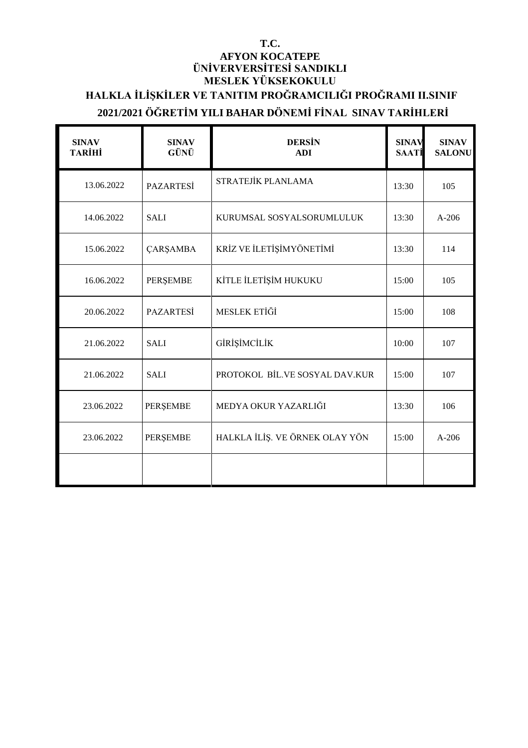#### **T.C. AFYON KOCATEPE ÜNİVERVERSİTESİ SANDIKLI MESLEK YÜKSEKOKULU HALKLA İLİŞKİLER VE TANITIM PROĞRAMCILIĞI PROĞRAMI II.SINIF 2021/2021 ÖĞRETİM YILI BAHAR DÖNEMİ FİNAL SINAV TARİHLERİ**

| <b>SINAV</b><br><b>TARİHİ</b> | <b>SINAV</b><br>GÜNÜ | <b>DERSIN</b><br><b>ADI</b>    | <b>SINAV</b><br><b>SAATI</b> | <b>SINAV</b><br><b>SALONU</b> |
|-------------------------------|----------------------|--------------------------------|------------------------------|-------------------------------|
| 13.06.2022                    | <b>PAZARTESİ</b>     | STRATEJİK PLANLAMA             | 13:30                        | 105                           |
| 14.06.2022                    | <b>SALI</b>          | KURUMSAL SOSYALSORUMLULUK      | 13:30                        | $A-206$                       |
| 15.06.2022                    | <b>ÇARŞAMBA</b>      | KRİZ VE İLETİŞİMYÖNETİMİ       | 13:30                        | 114                           |
| 16.06.2022                    | PERŞEMBE             | KİTLE İLETİŞİM HUKUKU          | 15:00                        | 105                           |
| 20.06.2022                    | <b>PAZARTESİ</b>     | MESLEK ETİĞİ                   | 15:00                        | 108                           |
| 21.06.2022                    | <b>SALI</b>          | GİRİŞİMCİLİK                   | 10:00                        | 107                           |
| 21.06.2022                    | <b>SALI</b>          | PROTOKOL BİL.VE SOSYAL DAV.KUR | 15:00                        | 107                           |
| 23.06.2022                    | PERŞEMBE             | MEDYA OKUR YAZARLIĞI           | 13:30                        | 106                           |
| 23.06.2022                    | <b>PERSEMBE</b>      | HALKLA İLİŞ. VE ÖRNEK OLAY YÖN | 15:00                        | $A-206$                       |
|                               |                      |                                |                              |                               |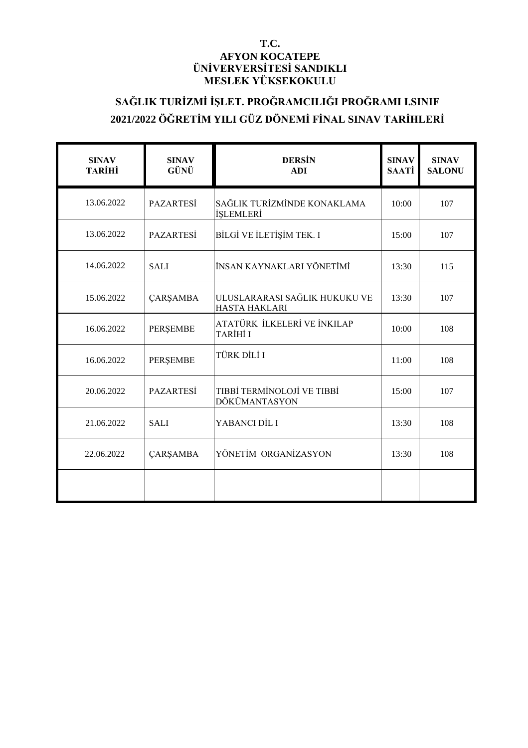#### **T.C. AFYON KOCATEPE ÜNİVERVERSİTESİ SANDIKLI MESLEK YÜKSEKOKULU**

## **SAĞLIK TURİZMİ İŞLET. PROĞRAMCILIĞI PROĞRAMI I.SINIF 2021/2022 ÖĞRETİM YILI GÜZ DÖNEMİ FİNAL SINAV TARİHLERİ**

| <b>SINAV</b><br><b>TARİHİ</b> | <b>SINAV</b><br>GÜNÜ | <b>DERSIN</b><br><b>ADI</b>                     | <b>SINAV</b><br>SAATİ | <b>SINAV</b><br><b>SALONU</b> |
|-------------------------------|----------------------|-------------------------------------------------|-----------------------|-------------------------------|
| 13.06.2022                    | <b>PAZARTESİ</b>     | SAĞLIK TURİZMİNDE KONAKLAMA<br><b>İSLEMLERİ</b> | 10:00                 | 107                           |
| 13.06.2022                    | <b>PAZARTESİ</b>     | BİLGİ VE İLETİŞİM TEK. I                        | 15:00                 | 107                           |
| 14.06.2022                    | <b>SALI</b>          | İNSAN KAYNAKLARI YÖNETİMİ                       | 13:30                 | 115                           |
| 15.06.2022                    | <b>ÇARŞAMBA</b>      | ULUSLARARASI SAĞLIK HUKUKU VE<br>HASTA HAKLARI  | 13:30                 | 107                           |
| 16.06.2022                    | <b>PERSEMBE</b>      | ATATÜRK İLKELERİ VE İNKILAP<br>TARİHİ I         | 10:00                 | 108                           |
| 16.06.2022                    | <b>PERSEMBE</b>      | TÜRK DİLİ I                                     | 11:00                 | 108                           |
| 20.06.2022                    | <b>PAZARTESİ</b>     | TIBBİ TERMİNOLOJİ VE TIBBİ<br>DÖKÜMANTASYON     | 15:00                 | 107                           |
| 21.06.2022                    | <b>SALI</b>          | YABANCI DİL I                                   | 13:30                 | 108                           |
| 22.06.2022                    | <b>ÇARŞAMBA</b>      | YÖNETİM ORGANİZASYON                            | 13:30                 | 108                           |
|                               |                      |                                                 |                       |                               |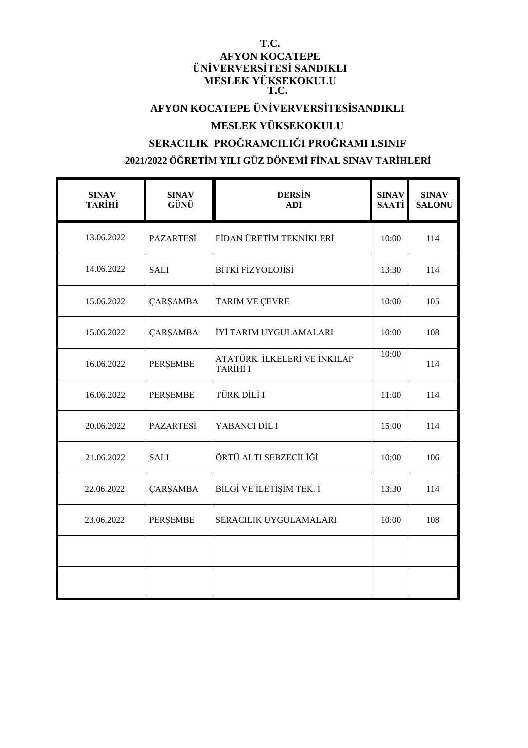#### **T.C. AFYON KOCATEPE ÜNİVERVERSİTESİ SANDIKLI MESLEK YÜKSEKOKULU T.C.**

## **AFYON KOCATEPE ÜNİVERVERSİTESİSANDIKLI**

### **MESLEK YÜKSEKOKULU**

## **SERACILIK PROĞRAMCILIĞI PROĞRAMI I.SINIF 2021/2022 ÖĞRETİM YILI GÜZ DÖNEMİ FİNAL SINAV TARİHLERİ**

| <b>SINAV</b><br><b>TARİHİ</b> | <b>SINAV</b><br>GÜNÜ | <b>DERSIN</b><br><b>ADI</b>             | <b>SINAV</b><br><b>SAATİ</b> | <b>SINAV</b><br><b>SALONU</b> |
|-------------------------------|----------------------|-----------------------------------------|------------------------------|-------------------------------|
| 13.06.2022                    | <b>PAZARTESİ</b>     | FİDAN ÜRETİM TEKNİKLERİ                 | 10:00                        | 114                           |
| 14.06.2022                    | <b>SALI</b>          | <b>BİTKİ FİZYOLOJİSİ</b>                | 13:30                        | 114                           |
| 15.06.2022                    | <b>ÇARŞAMBA</b>      | TARIM VE ÇEVRE                          | 10:00                        | 105                           |
| 15.06.2022                    | <b>ÇARŞAMBA</b>      | İYİ TARIM UYGULAMALARI                  | 10:00                        | 108                           |
| 16.06.2022                    | PERŞEMBE             | ATATÜRK İLKELERİ VE İNKILAP<br>TARİHİ I | 10:00                        | 114                           |
| 16.06.2022                    | PERŞEMBE             | TÜRK DİLİ I                             | 11:00                        | 114                           |
| 20.06.2022                    | <b>PAZARTESİ</b>     | YABANCI DİL I                           | 15:00                        | 114                           |
| 21.06.2022                    | <b>SALI</b>          | ÖRTÜ ALTI SEBZECİLİĞİ                   | 10:00                        | 106                           |
| 22.06.2022                    | <b>ÇARŞAMBA</b>      | BİLGİ VE İLETİŞİM TEK. I                | 13:30                        | 114                           |
| 23.06.2022                    | PERŞEMBE             | SERACILIK UYGULAMALARI                  | 10:00                        | 108                           |
|                               |                      |                                         |                              |                               |
|                               |                      |                                         |                              |                               |